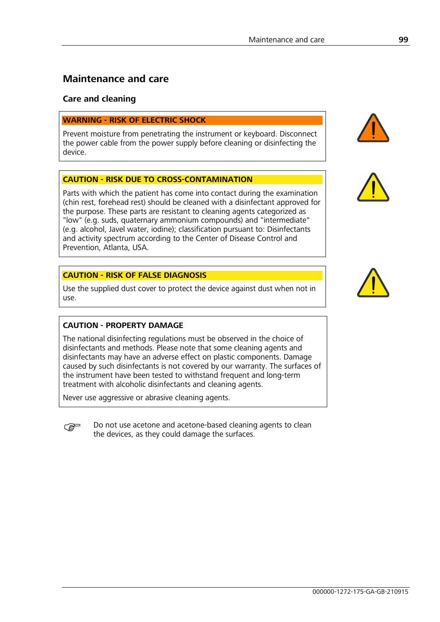## **Maintenance and care**

#### **Care and cleaning**

#### **WARNING - RISK OF ELECTRIC SHOCK**

Prevent moisture from penetrating the instrument or keyboard. Disconnect the power cable from the power supply before cleaning or disinfecting the device.

#### **CAUTION - RISK DUE TO CROSS-CONTAMINATION**

Parts with which the patient has come into contact during the examination (chin rest, forehead rest) should be cleaned with a disinfectant approved for the purpose. These parts are resistant to cleaning agents categorized as "low" (e.g. suds, quaternary ammonium compounds) and "intermediate" (e.g. alcohol, Javel water, iodine); classification pursuant to: Disinfectants and activity spectrum according to the Center of Disease Control and Prevention, Atlanta, USA.

#### **CAUTION - RISK OF FALSE DIAGNOSIS**

Use the supplied dust cover to protect the device against dust when not in use.

#### **CAUTION - PROPERTY DAMAGE**

The national disinfecting regulations must be observed in the choice of disinfectants and methods. Please note that some cleaning agents and disinfectants may have an adverse effect on plastic components. Damage caused by such disinfectants is not covered by our warranty. The surfaces of the instrument have been tested to withstand frequent and long-term treatment with alcoholic disinfectants and cleaning agents.

Never use aggressive or abrasive cleaning agents.

 Do not use acetone and acetone-based cleaning agents to clean the devices, as they could damage the surfaces.





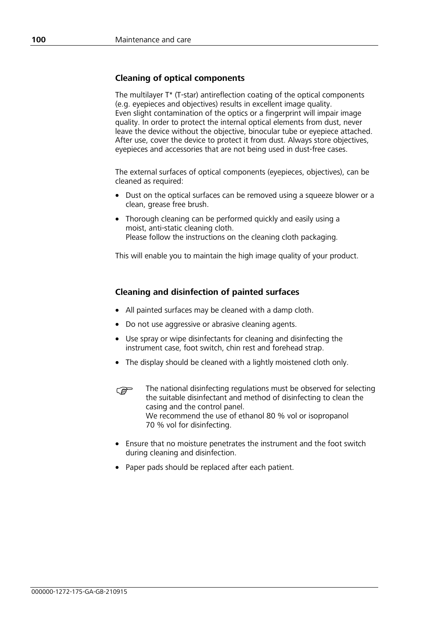#### **Cleaning of optical components**

The multilayer T\* (T-star) antireflection coating of the optical components (e.g. eyepieces and objectives) results in excellent image quality. Even slight contamination of the optics or a fingerprint will impair image quality. In order to protect the internal optical elements from dust, never leave the device without the objective, binocular tube or eyepiece attached. After use, cover the device to protect it from dust. Always store objectives, eyepieces and accessories that are not being used in dust-free cases.

The external surfaces of optical components (eyepieces, objectives), can be cleaned as required:

- Dust on the optical surfaces can be removed using a squeeze blower or a clean, grease free brush.
- Thorough cleaning can be performed quickly and easily using a moist, anti-static cleaning cloth. Please follow the instructions on the cleaning cloth packaging.

This will enable you to maintain the high image quality of your product.

### **Cleaning and disinfection of painted surfaces**

- All painted surfaces may be cleaned with a damp cloth.
- Do not use aggressive or abrasive cleaning agents.
- Use spray or wipe disinfectants for cleaning and disinfecting the instrument case, foot switch, chin rest and forehead strap.
- The display should be cleaned with a lightly moistened cloth only.
- The national disinfecting regulations must be observed for selecting the suitable disinfectant and method of disinfecting to clean the casing and the control panel. We recommend the use of ethanol 80 % vol or isopropanol 70 % vol for disinfecting.
- Ensure that no moisture penetrates the instrument and the foot switch during cleaning and disinfection.
- Paper pads should be replaced after each patient.